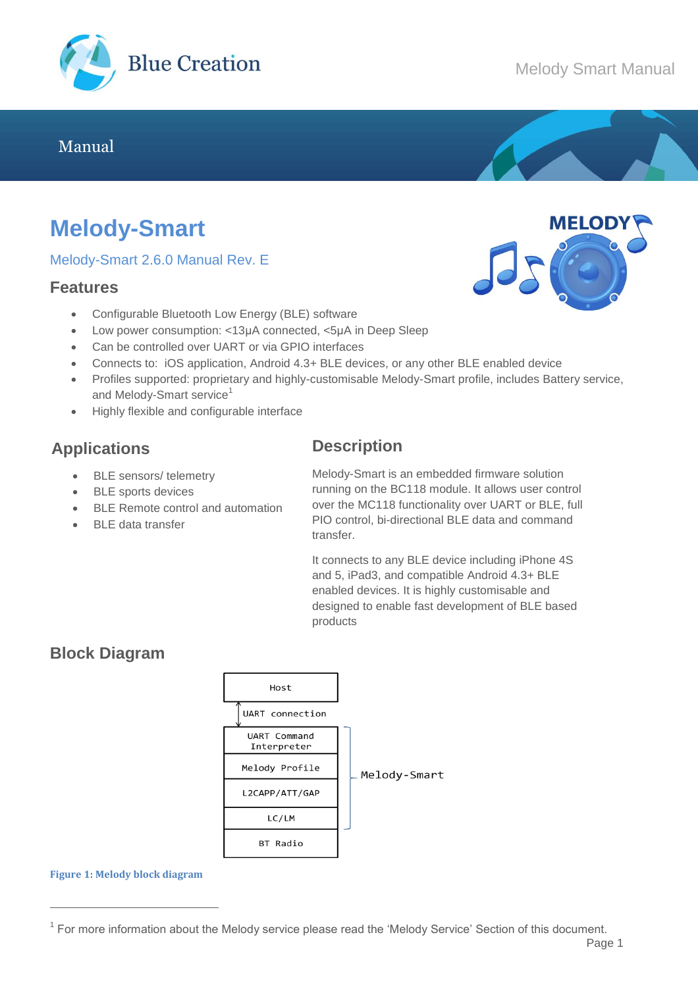

## **Melody-Smart**

Melody-Smart 2.6.0 Manual Rev. E

#### **Features**

- Configurable Bluetooth Low Energy (BLE) software
- Low power consumption: <13µA connected, <5µA in Deep Sleep
- Can be controlled over UART or via GPIO interfaces
- Connects to: iOS application, Android 4.3+ BLE devices, or any other BLE enabled device
- Profiles supported: proprietary and highly-customisable Melody-Smart profile, includes Battery service, and Melody-Smart service<sup>1</sup>
- Highly flexible and configurable interface

### **Applications**

- BLE sensors/ telemetry
- BLE sports devices
- BLE Remote control and automation
- BLE data transfer

### **Description**

Melody-Smart is an embedded firmware solution running on the BC118 module. It allows user control over the MC118 functionality over UART or BLE, full PIO control, bi-directional BLE data and command transfer.

It connects to any BLE device including iPhone 4S and 5, iPad3, and compatible Android 4.3+ BLE enabled devices. It is highly customisable and designed to enable fast development of BLE based products

### **Block Diagram**



#### **Figure 1: Melody block diagram**





 $1$  For more information about the Melody service please read the 'Melody Service' Section of this document.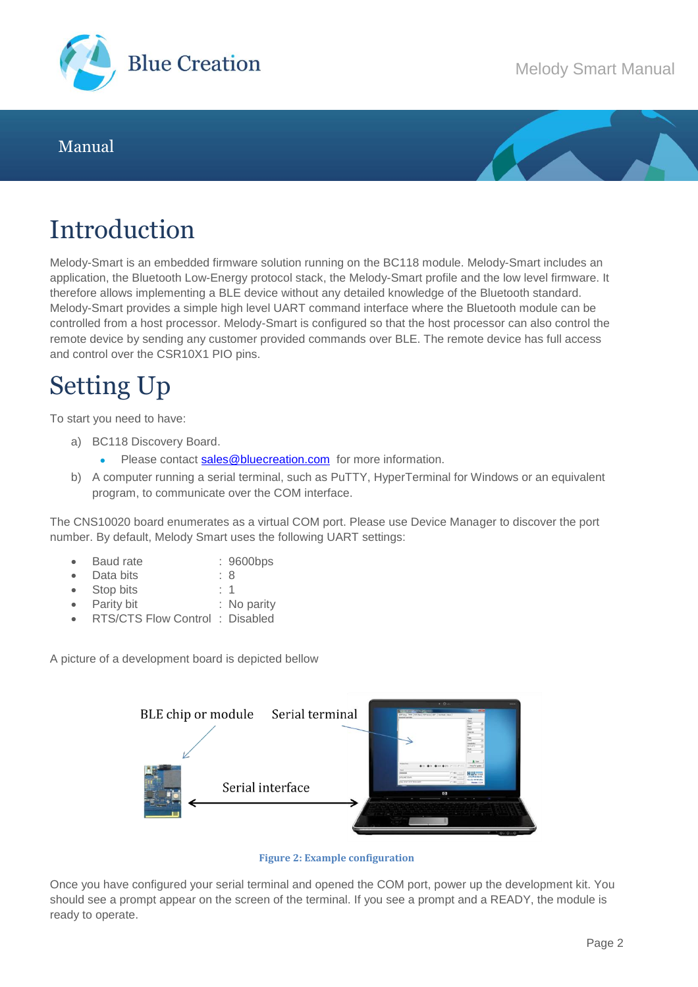

Manual



# Introduction

Melody-Smart is an embedded firmware solution running on the BC118 module. Melody-Smart includes an application, the Bluetooth Low-Energy protocol stack, the Melody-Smart profile and the low level firmware. It therefore allows implementing a BLE device without any detailed knowledge of the Bluetooth standard. Melody-Smart provides a simple high level UART command interface where the Bluetooth module can be controlled from a host processor. Melody-Smart is configured so that the host processor can also control the remote device by sending any customer provided commands over BLE. The remote device has full access and control over the CSR10X1 PIO pins.

# Setting Up

To start you need to have:

- a) BC118 Discovery Board.
	- Please contact [sales@bluecreation.com](mailto:sales@bluecreation.com) for more information.
- b) A computer running a serial terminal, such as PuTTY, HyperTerminal for Windows or an equivalent program, to communicate over the COM interface.

The CNS10020 board enumerates as a virtual COM port. Please use Device Manager to discover the port number. By default, Melody Smart uses the following UART settings:

- Baud rate : 9600bps
- Data bits : 8
- Stop bits : 1
- Parity bit : No parity
- RTS/CTS Flow Control : Disabled

A picture of a development board is depicted bellow



**Figure 2: Example configuration**

Once you have configured your serial terminal and opened the COM port, power up the development kit. You should see a prompt appear on the screen of the terminal. If you see a prompt and a READY, the module is ready to operate.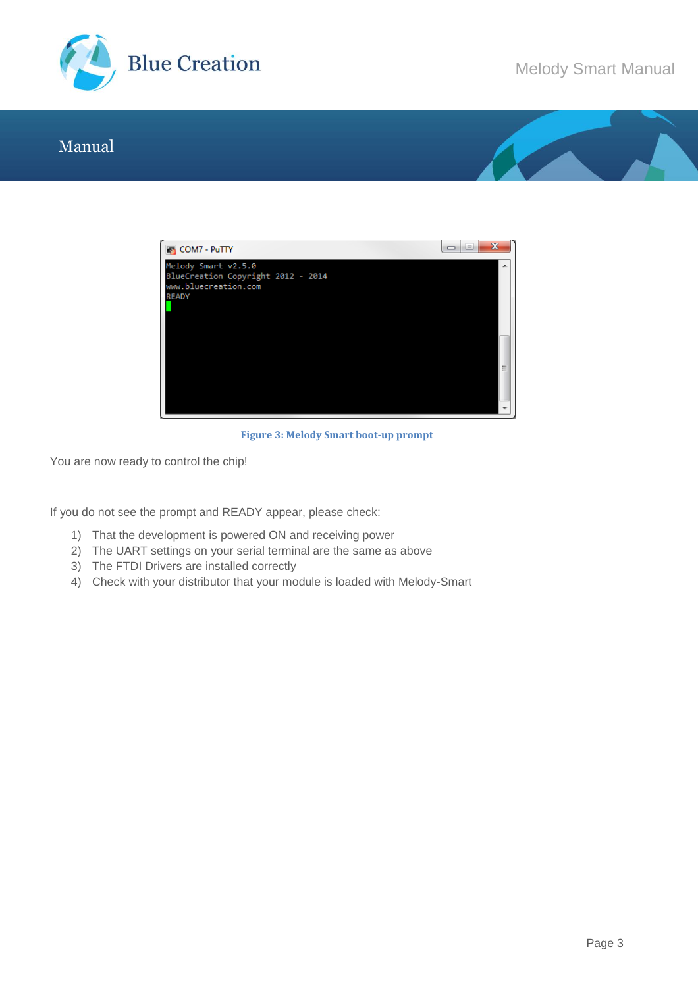



**Figure 3: Melody Smart boot-up prompt**

You are now ready to control the chip!

If you do not see the prompt and READY appear, please check:

- 1) That the development is powered ON and receiving power
- 2) The UART settings on your serial terminal are the same as above
- 3) The FTDI Drivers are installed correctly
- 4) Check with your distributor that your module is loaded with Melody-Smart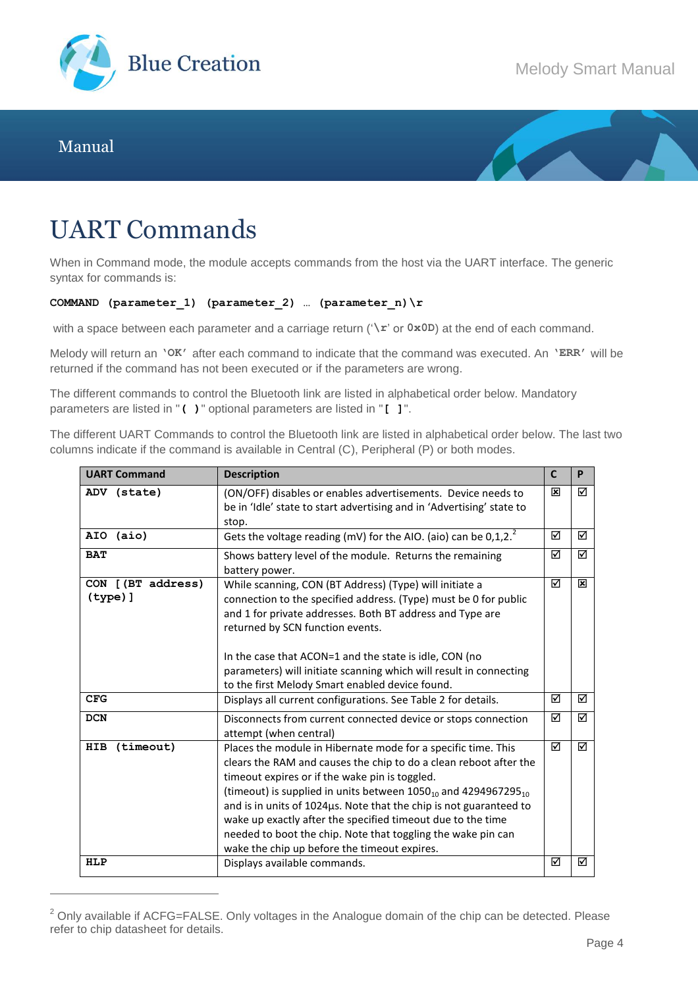

 $\overline{a}$ 



# UART Commands

When in Command mode, the module accepts commands from the host via the UART interface. The generic syntax for commands is:

#### **COMMAND (parameter\_1) (parameter\_2) … (parameter\_n)\r**

with a space between each parameter and a carriage return ('**\r**' or **0x0D**) at the end of each command.

Melody will return an **'OK'** after each command to indicate that the command was executed. An **'ERR'** will be returned if the command has not been executed or if the parameters are wrong.

The different commands to control the Bluetooth link are listed in alphabetical order below. Mandatory parameters are listed in "**( )**" optional parameters are listed in "**[ ]**".

The different UART Commands to control the Bluetooth link are listed in alphabetical order below. The last two columns indicate if the command is available in Central (C), Peripheral (P) or both modes.

| <b>UART Command</b>              | <b>Description</b>                                                                                                                                                                                                                                                                                                                                                                                                                                                                                                    | С | P |
|----------------------------------|-----------------------------------------------------------------------------------------------------------------------------------------------------------------------------------------------------------------------------------------------------------------------------------------------------------------------------------------------------------------------------------------------------------------------------------------------------------------------------------------------------------------------|---|---|
| ADV (state)                      | (ON/OFF) disables or enables advertisements. Device needs to<br>be in 'Idle' state to start advertising and in 'Advertising' state to<br>stop.                                                                                                                                                                                                                                                                                                                                                                        | ⊠ | ☑ |
| (aio)<br><b>AIO</b>              | Gets the voltage reading (mV) for the AIO. (aio) can be $0,1,2$ .                                                                                                                                                                                                                                                                                                                                                                                                                                                     | ☑ | ☑ |
| <b>BAT</b>                       | Shows battery level of the module. Returns the remaining<br>battery power.                                                                                                                                                                                                                                                                                                                                                                                                                                            | ☑ | ☑ |
| CON [ (BT address)<br>$(type)$ ] | While scanning, CON (BT Address) (Type) will initiate a<br>connection to the specified address. (Type) must be 0 for public<br>and 1 for private addresses. Both BT address and Type are<br>returned by SCN function events.<br>In the case that ACON=1 and the state is idle, CON (no<br>parameters) will initiate scanning which will result in connecting<br>to the first Melody Smart enabled device found.                                                                                                       | ⊠ | × |
| <b>CFG</b>                       | Displays all current configurations. See Table 2 for details.                                                                                                                                                                                                                                                                                                                                                                                                                                                         | ☑ | ☑ |
| <b>DCN</b>                       | Disconnects from current connected device or stops connection<br>attempt (when central)                                                                                                                                                                                                                                                                                                                                                                                                                               | ☑ | ☑ |
| (timeout)<br><b>HIB</b>          | Places the module in Hibernate mode for a specific time. This<br>clears the RAM and causes the chip to do a clean reboot after the<br>timeout expires or if the wake pin is toggled.<br>(timeout) is supplied in units between $1050_{10}$ and $4294967295_{10}$<br>and is in units of 1024us. Note that the chip is not guaranteed to<br>wake up exactly after the specified timeout due to the time<br>needed to boot the chip. Note that toggling the wake pin can<br>wake the chip up before the timeout expires. | ☑ | ☑ |
| HLP                              | Displays available commands.                                                                                                                                                                                                                                                                                                                                                                                                                                                                                          | ⊠ | ☑ |

 $2$  Only available if ACFG=FALSE. Only voltages in the Analogue domain of the chip can be detected. Please refer to chip datasheet for details.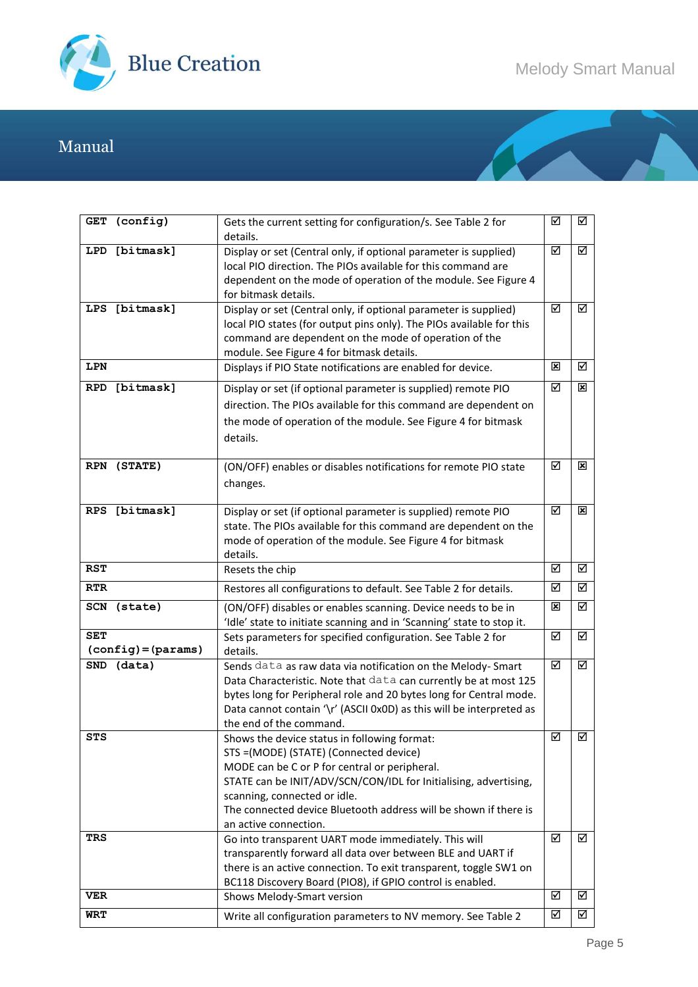**A** 



### Manual

| (config)<br>GET                     | Gets the current setting for configuration/s. See Table 2 for<br>details.                                                                                                                                                                                                                                                                 | ⊠ | ☑                       |
|-------------------------------------|-------------------------------------------------------------------------------------------------------------------------------------------------------------------------------------------------------------------------------------------------------------------------------------------------------------------------------------------|---|-------------------------|
| [bitmask]<br>LPD                    | Display or set (Central only, if optional parameter is supplied)<br>local PIO direction. The PIOs available for this command are<br>dependent on the mode of operation of the module. See Figure 4<br>for bitmask details.                                                                                                                | ☑ | ☑                       |
| LPS [bitmask]                       | Display or set (Central only, if optional parameter is supplied)<br>local PIO states (for output pins only). The PIOs available for this<br>command are dependent on the mode of operation of the<br>module. See Figure 4 for bitmask details.                                                                                            | ☑ | ☑                       |
| LPN                                 | Displays if PIO State notifications are enabled for device.                                                                                                                                                                                                                                                                               | ⊠ | ☑                       |
| [bitmask]<br><b>RPD</b>             | Display or set (if optional parameter is supplied) remote PIO<br>direction. The PIOs available for this command are dependent on<br>the mode of operation of the module. See Figure 4 for bitmask<br>details.                                                                                                                             | ☑ | $\overline{\mathbf{x}}$ |
| RPN (STATE)                         | (ON/OFF) enables or disables notifications for remote PIO state<br>changes.                                                                                                                                                                                                                                                               | ☑ | ⊠                       |
| [bitmask]<br><b>RPS</b>             | Display or set (if optional parameter is supplied) remote PIO<br>state. The PIOs available for this command are dependent on the<br>mode of operation of the module. See Figure 4 for bitmask<br>details.                                                                                                                                 | ☑ | ⊠                       |
| <b>RST</b>                          | Resets the chip                                                                                                                                                                                                                                                                                                                           | ☑ | ☑                       |
| <b>RTR</b>                          | Restores all configurations to default. See Table 2 for details.                                                                                                                                                                                                                                                                          | ☑ | ☑                       |
| (state)<br>SCN                      | (ON/OFF) disables or enables scanning. Device needs to be in<br>'Idle' state to initiate scanning and in 'Scanning' state to stop it.                                                                                                                                                                                                     | ⊠ | ☑                       |
| <b>SET</b><br>$(config) = (params)$ | Sets parameters for specified configuration. See Table 2 for<br>details.                                                                                                                                                                                                                                                                  | ☑ | ☑                       |
| SND (data)                          | Sends data as raw data via notification on the Melody-Smart<br>Data Characteristic. Note that data can currently be at most 125<br>bytes long for Peripheral role and 20 bytes long for Central mode.<br>Data cannot contain '\r' (ASCII 0x0D) as this will be interpreted as<br>the end of the command.                                  | ☑ | ☑                       |
| STS                                 | Shows the device status in following format:<br>STS = (MODE) (STATE) (Connected device)<br>MODE can be C or P for central or peripheral.<br>STATE can be INIT/ADV/SCN/CON/IDL for Initialising, advertising,<br>scanning, connected or idle.<br>The connected device Bluetooth address will be shown if there is<br>an active connection. | ☑ | ☑                       |
| TRS                                 | Go into transparent UART mode immediately. This will<br>transparently forward all data over between BLE and UART if<br>there is an active connection. To exit transparent, toggle SW1 on<br>BC118 Discovery Board (PIO8), if GPIO control is enabled.                                                                                     | ☑ | ☑                       |
| VER                                 | Shows Melody-Smart version                                                                                                                                                                                                                                                                                                                | ☑ | ☑                       |
| WRT                                 | Write all configuration parameters to NV memory. See Table 2                                                                                                                                                                                                                                                                              | ☑ | ☑                       |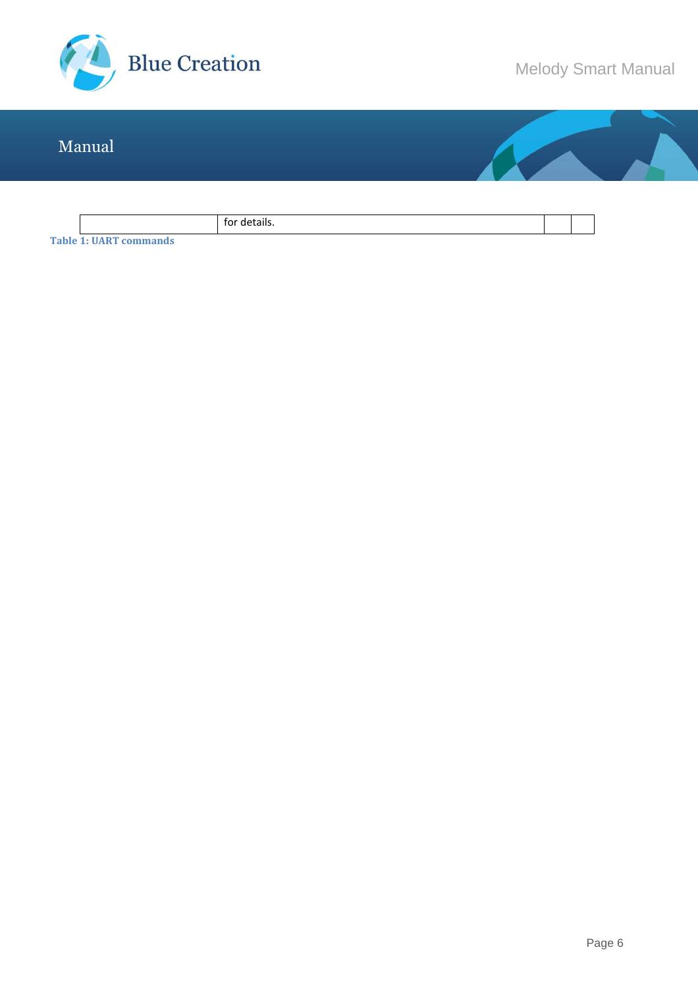



for details.

**Table 1: UART commands**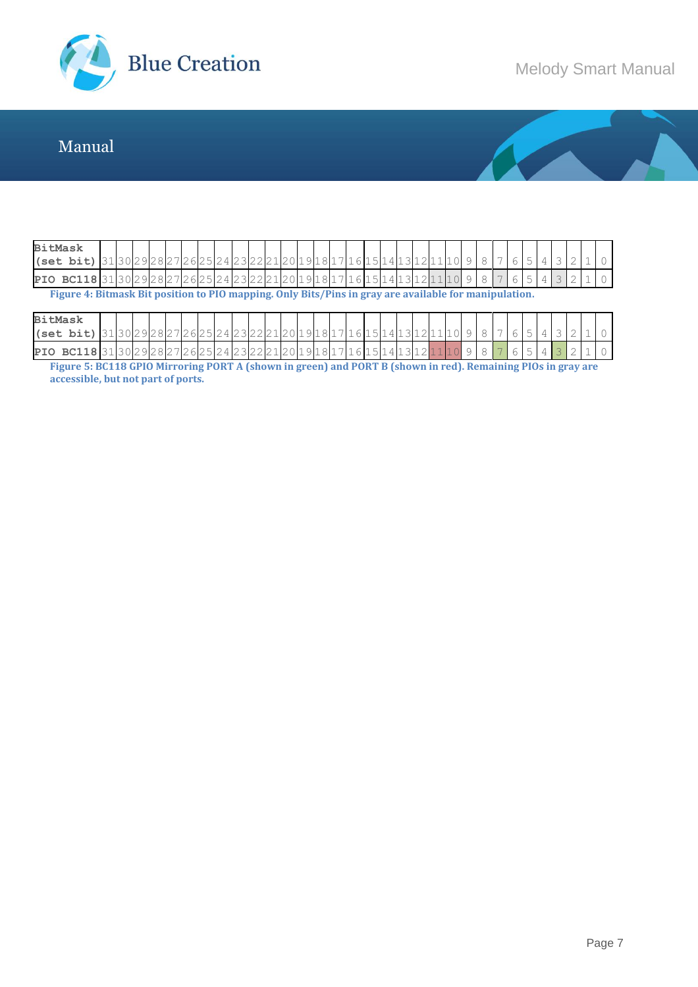



| <b>BitMask</b>                                                                                        |                                                                                               |  |  |  |  |  |  |  |  |  |  |  |  |  |  |  |  |  |  |  |
|-------------------------------------------------------------------------------------------------------|-----------------------------------------------------------------------------------------------|--|--|--|--|--|--|--|--|--|--|--|--|--|--|--|--|--|--|--|
|                                                                                                       | $(set bit)$ 313029282726252423222120191817161514131211109987654321                            |  |  |  |  |  |  |  |  |  |  |  |  |  |  |  |  |  |  |  |
|                                                                                                       | PIO BC118 31 30 29 28 27 26 25 24 23 22 21 20 19 18 17 16 15 14 13 12 11 10 9 8 7 6 5 4 3 2 1 |  |  |  |  |  |  |  |  |  |  |  |  |  |  |  |  |  |  |  |
| Figure 4: Bitmask Bit position to PIO mapping. Only Bits/Pins in gray are available for manipulation. |                                                                                               |  |  |  |  |  |  |  |  |  |  |  |  |  |  |  |  |  |  |  |

| BitMask |                                                                                                 |  |  |  |  |  |  |  |  |  |  |  |  |  |  |  |  |
|---------|-------------------------------------------------------------------------------------------------|--|--|--|--|--|--|--|--|--|--|--|--|--|--|--|--|
|         | $(\text{set bit})$ 31302928272625242322212019181716151413121110998765432100                     |  |  |  |  |  |  |  |  |  |  |  |  |  |  |  |  |
|         | PIO BC118 31 30 29 28 27 26 25 24 23 22 21 20 19 18 17 16 15 14 13 12 11 10 9 8 7 6 5 4 3 2 1 0 |  |  |  |  |  |  |  |  |  |  |  |  |  |  |  |  |

**Figure 5: BC118 GPIO Mirroring PORT A (shown in green) and PORT B (shown in red). Remaining PIOs in gray are accessible, but not part of ports.**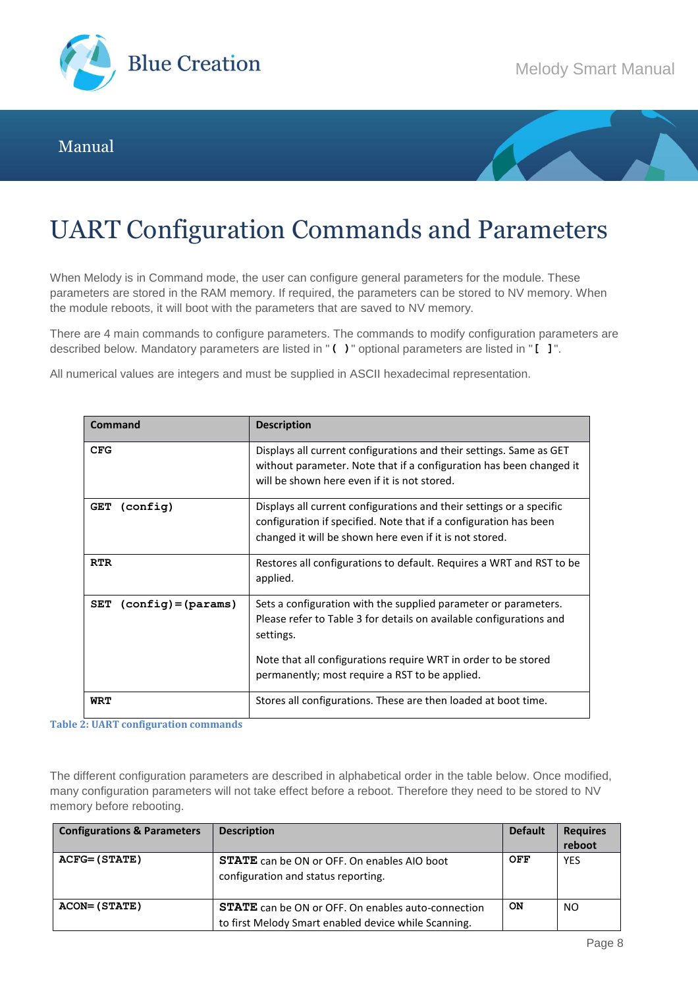



## UART Configuration Commands and Parameters

When Melody is in Command mode, the user can configure general parameters for the module. These parameters are stored in the RAM memory. If required, the parameters can be stored to NV memory. When the module reboots, it will boot with the parameters that are saved to NV memory.

There are 4 main commands to configure parameters. The commands to modify configuration parameters are described below. Mandatory parameters are listed in "**( )**" optional parameters are listed in "**[ ]**".

All numerical values are integers and must be supplied in ASCII hexadecimal representation.

| Command                      | <b>Description</b>                                                                                                                                                                                                                                                      |
|------------------------------|-------------------------------------------------------------------------------------------------------------------------------------------------------------------------------------------------------------------------------------------------------------------------|
| <b>CFG</b>                   | Displays all current configurations and their settings. Same as GET<br>without parameter. Note that if a configuration has been changed it<br>will be shown here even if it is not stored.                                                                              |
| <b>GET</b><br>(config)       | Displays all current configurations and their settings or a specific<br>configuration if specified. Note that if a configuration has been<br>changed it will be shown here even if it is not stored.                                                                    |
| <b>RTR</b>                   | Restores all configurations to default. Requires a WRT and RST to be<br>applied.                                                                                                                                                                                        |
| $(config) = (params)$<br>SET | Sets a configuration with the supplied parameter or parameters.<br>Please refer to Table 3 for details on available configurations and<br>settings.<br>Note that all configurations require WRT in order to be stored<br>permanently; most require a RST to be applied. |
| WRT                          | Stores all configurations. These are then loaded at boot time.                                                                                                                                                                                                          |

**Table 2: UART configuration commands**

The different configuration parameters are described in alphabetical order in the table below. Once modified, many configuration parameters will not take effect before a reboot. Therefore they need to be stored to NV memory before rebooting.

| <b>Configurations &amp; Parameters</b> | <b>Description</b>                                                                                                | <b>Default</b> | <b>Requires</b><br>reboot |
|----------------------------------------|-------------------------------------------------------------------------------------------------------------------|----------------|---------------------------|
| ACFG= (STATE)                          | <b>STATE</b> can be ON or OFF. On enables AIO boot<br>configuration and status reporting.                         | OFF            | <b>YES</b>                |
| ACON= (STATE)                          | <b>STATE</b> can be ON or OFF. On enables auto-connection<br>to first Melody Smart enabled device while Scanning. | ON             | NO.                       |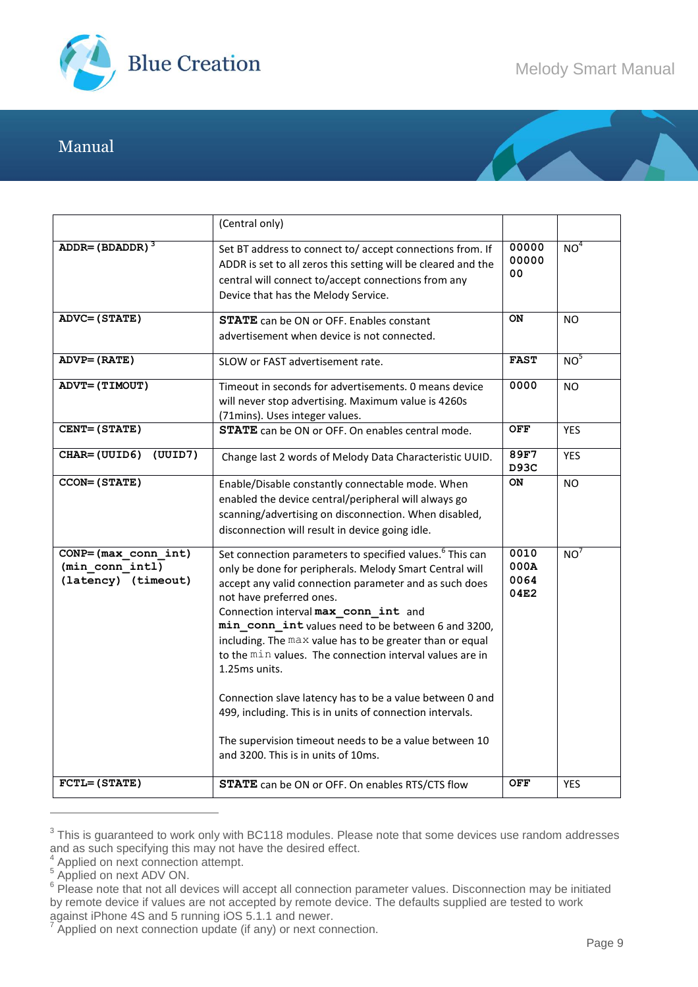

|                                                                   | (Central only)                                                                                                                                                                                                                                                                                                                                                                                                                                                                                                                                                                                                                                                                         |                              |                 |
|-------------------------------------------------------------------|----------------------------------------------------------------------------------------------------------------------------------------------------------------------------------------------------------------------------------------------------------------------------------------------------------------------------------------------------------------------------------------------------------------------------------------------------------------------------------------------------------------------------------------------------------------------------------------------------------------------------------------------------------------------------------------|------------------------------|-----------------|
| ADDR= $(BDADDR)^3$                                                | Set BT address to connect to/ accept connections from. If<br>ADDR is set to all zeros this setting will be cleared and the<br>central will connect to/accept connections from any<br>Device that has the Melody Service.                                                                                                                                                                                                                                                                                                                                                                                                                                                               | 00000<br>00000<br>00         | NO <sup>4</sup> |
| ADVC= (STATE)                                                     | <b>STATE</b> can be ON or OFF. Enables constant<br>advertisement when device is not connected.                                                                                                                                                                                                                                                                                                                                                                                                                                                                                                                                                                                         | ON                           | NO              |
| ADVP=(RATE)                                                       | SLOW or FAST advertisement rate.                                                                                                                                                                                                                                                                                                                                                                                                                                                                                                                                                                                                                                                       | <b>FAST</b>                  | NO <sup>5</sup> |
| ADVT= (TIMOUT)                                                    | Timeout in seconds for advertisements, 0 means device<br>will never stop advertising. Maximum value is 4260s<br>(71mins). Uses integer values.                                                                                                                                                                                                                                                                                                                                                                                                                                                                                                                                         | 0000                         | NO.             |
| CENT= (STATE)                                                     | <b>STATE</b> can be ON or OFF. On enables central mode.                                                                                                                                                                                                                                                                                                                                                                                                                                                                                                                                                                                                                                | OFF                          | <b>YES</b>      |
| CHAR=(UUID6)<br>(UUID7)                                           | Change last 2 words of Melody Data Characteristic UUID.                                                                                                                                                                                                                                                                                                                                                                                                                                                                                                                                                                                                                                | 89F7<br><b>D93C</b>          | <b>YES</b>      |
| CCON= (STATE)                                                     | Enable/Disable constantly connectable mode. When<br>enabled the device central/peripheral will always go<br>scanning/advertising on disconnection. When disabled,<br>disconnection will result in device going idle.                                                                                                                                                                                                                                                                                                                                                                                                                                                                   | ON                           | N <sub>O</sub>  |
| $CONF = (max conn int)$<br>(min conn intl)<br>(latency) (timeout) | Set connection parameters to specified values. <sup>6</sup> This can<br>only be done for peripherals. Melody Smart Central will<br>accept any valid connection parameter and as such does<br>not have preferred ones.<br>Connection interval max conn int and<br>min_conn_int values need to be between 6 and 3200,<br>including. The max value has to be greater than or equal<br>to the min values. The connection interval values are in<br>1.25ms units.<br>Connection slave latency has to be a value between 0 and<br>499, including. This is in units of connection intervals.<br>The supervision timeout needs to be a value between 10<br>and 3200. This is in units of 10ms. | 0010<br>000A<br>0064<br>04E2 | NO <sup>7</sup> |
| $FCTL = (STATE)$                                                  | STATE can be ON or OFF. On enables RTS/CTS flow                                                                                                                                                                                                                                                                                                                                                                                                                                                                                                                                                                                                                                        | OFF                          | <b>YES</b>      |

 $3$  This is guaranteed to work only with BC118 modules. Please note that some devices use random addresses

and as such specifying this may not have the desired effect.<br><sup>4</sup> Applied on next connection attempt.<br><sup>5</sup> Applied on next ADV ON.<br><sup>6</sup> Please note that not all devices will accept all connection parameter values. Disconnecti by remote device if values are not accepted by remote device. The defaults supplied are tested to work against iPhone 4S and 5 running iOS 5.1.1 and newer.<br><sup>7</sup> Applied ap novt connection undete (if any) ar novt con

Applied on next connection update (if any) or next connection.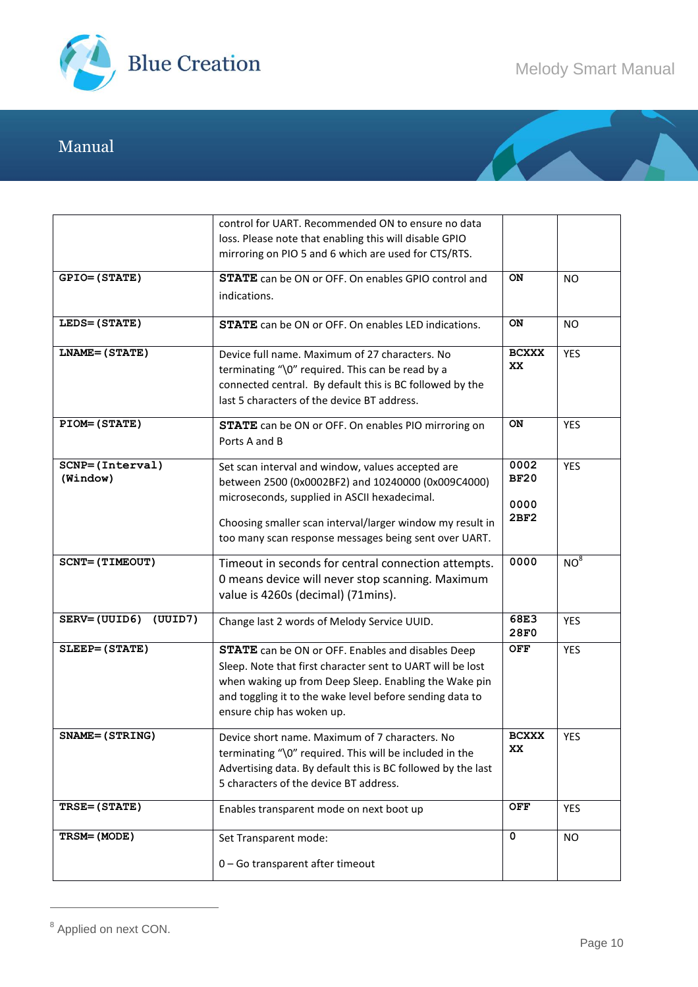



|                             | control for UART. Recommended ON to ensure no data<br>loss. Please note that enabling this will disable GPIO<br>mirroring on PIO 5 and 6 which are used for CTS/RTS.                                                                                                          |                                     |                 |
|-----------------------------|-------------------------------------------------------------------------------------------------------------------------------------------------------------------------------------------------------------------------------------------------------------------------------|-------------------------------------|-----------------|
| <b>GPIO= (STATE)</b>        | STATE can be ON or OFF. On enables GPIO control and<br>indications.                                                                                                                                                                                                           | ON                                  | <b>NO</b>       |
| LEDS= (STATE)               | <b>STATE</b> can be ON or OFF. On enables LED indications.                                                                                                                                                                                                                    | ON                                  | <b>NO</b>       |
| LNAME= (STATE)              | Device full name. Maximum of 27 characters. No<br>terminating "\0" required. This can be read by a<br>connected central. By default this is BC followed by the<br>last 5 characters of the device BT address.                                                                 | <b>BCXXX</b><br>XX.                 | <b>YES</b>      |
| PIOM= (STATE)               | <b>STATE</b> can be ON or OFF. On enables PIO mirroring on<br>Ports A and B                                                                                                                                                                                                   | ON                                  | <b>YES</b>      |
| SCNP=(Interval)<br>(Window) | Set scan interval and window, values accepted are<br>between 2500 (0x0002BF2) and 10240000 (0x009C4000)<br>microseconds, supplied in ASCII hexadecimal.<br>Choosing smaller scan interval/larger window my result in<br>too many scan response messages being sent over UART. | 0002<br><b>BF20</b><br>0000<br>2BF2 | <b>YES</b>      |
| SCNT= (TIMEOUT)             | Timeout in seconds for central connection attempts.<br>0 means device will never stop scanning. Maximum<br>value is 4260s (decimal) (71mins).                                                                                                                                 | 0000                                | NO <sup>8</sup> |
| SERV=(UUID6) (UUID7)        | Change last 2 words of Melody Service UUID.                                                                                                                                                                                                                                   | 68E3<br>28F0                        | <b>YES</b>      |
| SLEEP= (STATE)              | <b>STATE</b> can be ON or OFF. Enables and disables Deep<br>Sleep. Note that first character sent to UART will be lost<br>when waking up from Deep Sleep. Enabling the Wake pin<br>and toggling it to the wake level before sending data to<br>ensure chip has woken up.      | OFF                                 | <b>YES</b>      |
| SNAME= (STRING)             | Device short name. Maximum of 7 characters. No<br>terminating "\0" required. This will be included in the<br>Advertising data. By default this is BC followed by the last<br>5 characters of the device BT address.                                                           | <b>BCXXX</b><br>XX                  | YES             |
| TRSE=(STATE)                | Enables transparent mode on next boot up                                                                                                                                                                                                                                      | OFF                                 | YES             |
| TRSM= (MODE)                | Set Transparent mode:<br>0 - Go transparent after timeout                                                                                                                                                                                                                     | $\mathbf 0$                         | NO.             |

<sup>&</sup>lt;sup>8</sup> Applied on next CON.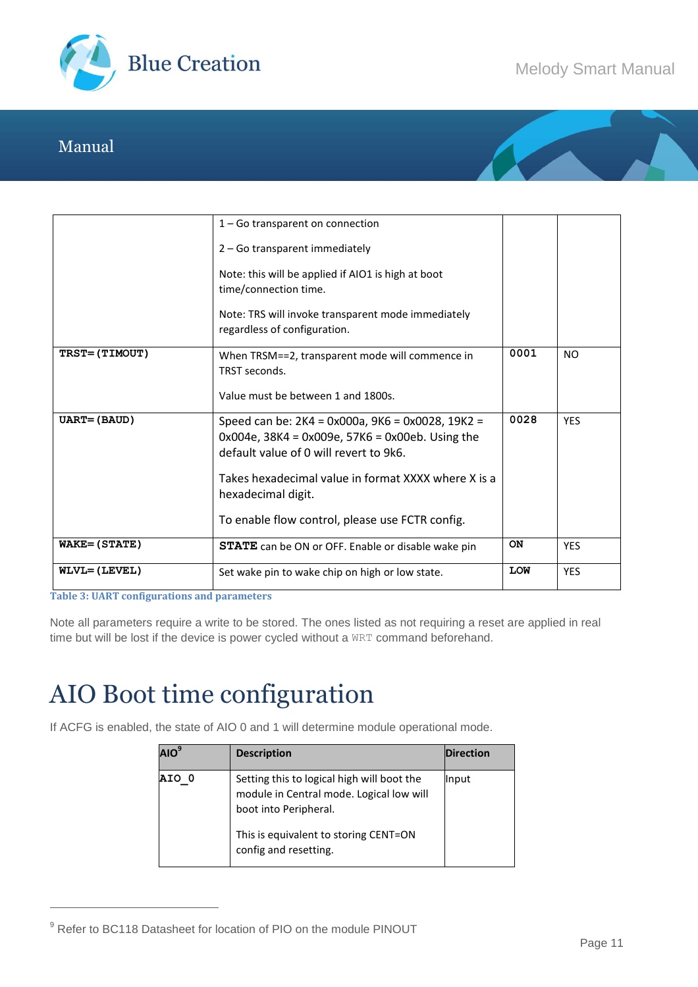



|                      | 1 - Go transparent on connection                                                                                                                       |            |            |
|----------------------|--------------------------------------------------------------------------------------------------------------------------------------------------------|------------|------------|
|                      | 2 - Go transparent immediately                                                                                                                         |            |            |
|                      | Note: this will be applied if AIO1 is high at boot<br>time/connection time.                                                                            |            |            |
|                      | Note: TRS will invoke transparent mode immediately<br>regardless of configuration.                                                                     |            |            |
| TRST=(TIMOUT)        | When TRSM==2, transparent mode will commence in<br>TRST seconds.                                                                                       | 0001       | <b>NO</b>  |
|                      | Value must be between 1 and 1800s.                                                                                                                     |            |            |
| <b>UART= (BAUD)</b>  | Speed can be: 2K4 = 0x000a, 9K6 = 0x0028, 19K2 =<br>$0x004e$ , 38K4 = $0x009e$ , 57K6 = $0x00eb$ . Using the<br>default value of 0 will revert to 9k6. | 0028       | <b>YES</b> |
|                      | Takes hexadecimal value in format XXXX where X is a<br>hexadecimal digit.                                                                              |            |            |
|                      | To enable flow control, please use FCTR config.                                                                                                        |            |            |
| <b>WAKE= (STATE)</b> | <b>STATE</b> can be ON or OFF. Enable or disable wake pin                                                                                              | ON         | <b>YES</b> |
| <b>WLVL= (LEVEL)</b> | Set wake pin to wake chip on high or low state.                                                                                                        | <b>LOW</b> | <b>YES</b> |

**Table 3: UART configurations and parameters**

 $\overline{a}$ 

Note all parameters require a write to be stored. The ones listed as not requiring a reset are applied in real time but will be lost if the device is power cycled without a WRT command beforehand.

## AIO Boot time configuration

If ACFG is enabled, the state of AIO 0 and 1 will determine module operational mode.

| AIO <sup>9</sup> | <b>Description</b>                                                                                                                                       | <b>Direction</b> |
|------------------|----------------------------------------------------------------------------------------------------------------------------------------------------------|------------------|
| <b>AIO</b>       | Setting this to logical high will boot the<br>module in Central mode. Logical low will<br>boot into Peripheral.<br>This is equivalent to storing CENT=ON | Input            |
|                  | config and resetting.                                                                                                                                    |                  |

<sup>&</sup>lt;sup>9</sup> Refer to BC118 Datasheet for location of PIO on the module PINOUT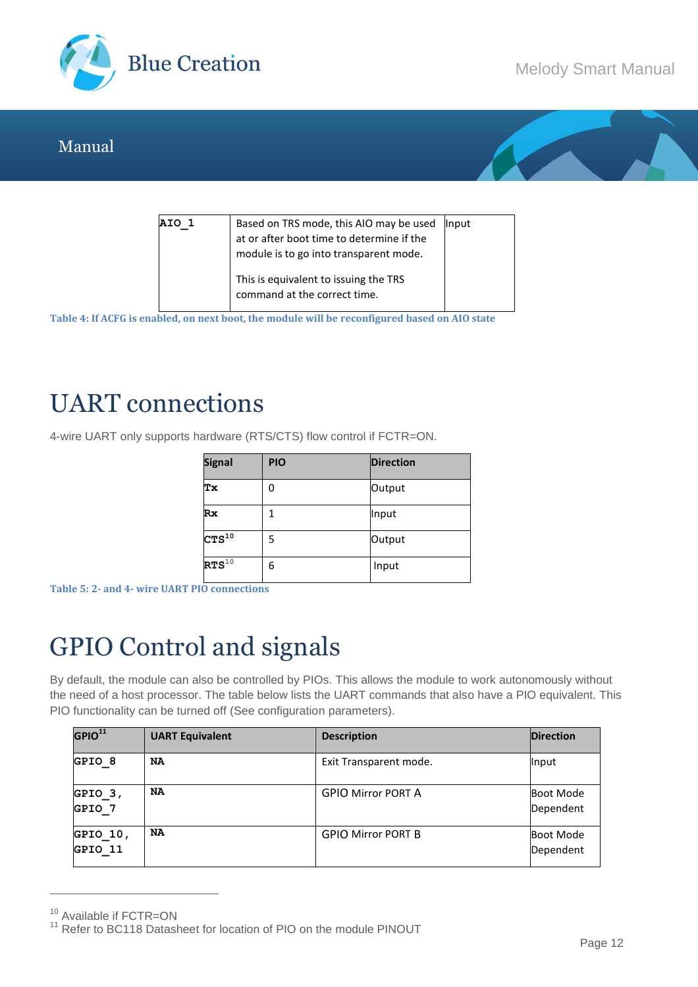

#### Melody Smart Manual

#### Manual



| Based on TRS mode, this AIO may be used   | Input |
|-------------------------------------------|-------|
| at or after boot time to determine if the |       |
| module is to go into transparent mode.    |       |
| This is equivalent to issuing the TRS     |       |
| command at the correct time.              |       |

**Table 4: If ACFG is enabled, on next boot, the module will be reconfigured based on AIO state**

## UART connections

4-wire UART only supports hardware (RTS/CTS) flow control if FCTR=ON.

| <b>Signal</b>        | <b>PIO</b> | <b>Direction</b> |
|----------------------|------------|------------------|
| Tх                   | 0          | Output           |
| Rx                   | 1          | Input            |
| ${\rm \bf CTS}^{10}$ | 5          | Output           |
| $RTS^{10}$           | 6          | Input            |

**Table 5: 2- and 4- wire UART PIO connections**

## GPIO Control and signals

By default, the module can also be controlled by PIOs. This allows the module to work autonomously without the need of a host processor. The table below lists the UART commands that also have a PIO equivalent. This PIO functionality can be turned off (See configuration parameters).

| GPIO <sup>11</sup>  | <b>UART Equivalent</b> | <b>Description</b>        | <b>Direction</b>       |
|---------------------|------------------------|---------------------------|------------------------|
| GPIO <sub>8</sub>   | NA                     | Exit Transparent mode.    | Input                  |
| GPIO 3,<br>GPIO 7   | NA                     | <b>GPIO Mirror PORT A</b> | Boot Mode<br>Dependent |
| GPIO 10,<br>GPIO 11 | NA                     | <b>GPIO Mirror PORT B</b> | Boot Mode<br>Dependent |

<sup>&</sup>lt;sup>10</sup> Available if FCTR=ON

<sup>&</sup>lt;sup>11</sup> Refer to BC118 Datasheet for location of PIO on the module PINOUT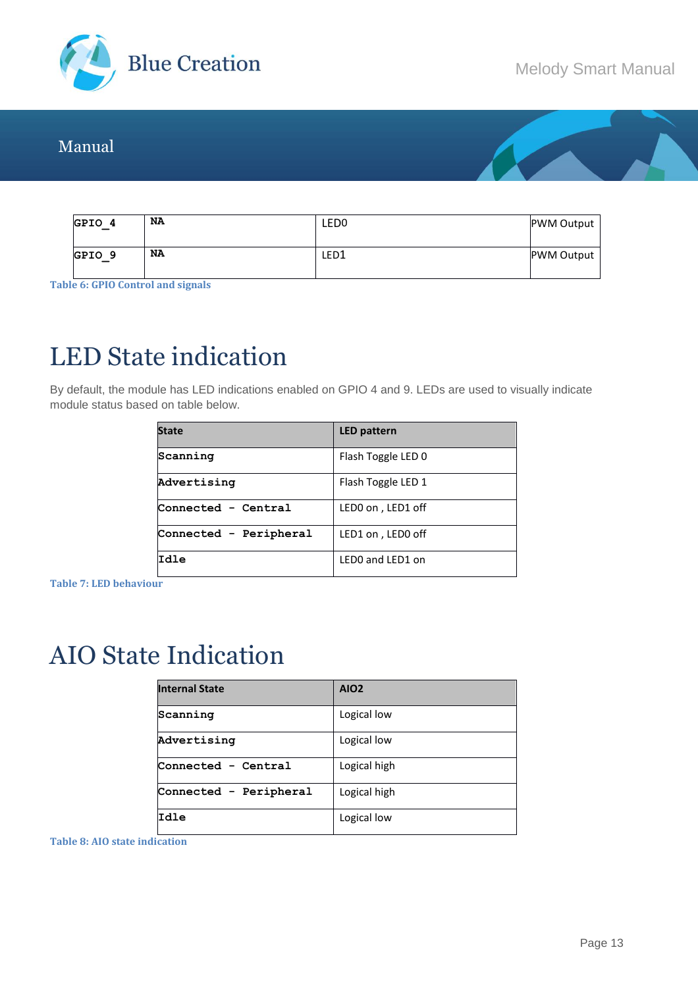



| GPIO 4<br>$\overline{\phantom{0}}$ | NA        | ∟ED0 | <b>PWM Output</b> |
|------------------------------------|-----------|------|-------------------|
| GPIO <sub>9</sub><br>-             | <b>NA</b> | LED1 | <b>PWM Output</b> |

**Table 6: GPIO Control and signals**

## LED State indication

By default, the module has LED indications enabled on GPIO 4 and 9. LEDs are used to visually indicate module status based on table below.

| <b>State</b>           | <b>LED pattern</b> |
|------------------------|--------------------|
| Scanning               | Flash Toggle LED 0 |
| Advertising            | Flash Toggle LED 1 |
| Connected - Central    | LEDO on, LED1 off  |
| Connected - Peripheral | LED1 on, LED0 off  |
| Idle                   | LEDO and LED1 on   |

**Table 7: LED behaviour**

## AIO State Indication

| <b>Internal State</b>  | <b>AIO2</b>  |
|------------------------|--------------|
| Scanning               | Logical low  |
| Advertising            | Logical low  |
| Connected - Central    | Logical high |
| Connected - Peripheral | Logical high |
| Idle                   | Logical low  |

**Table 8: AIO state indication**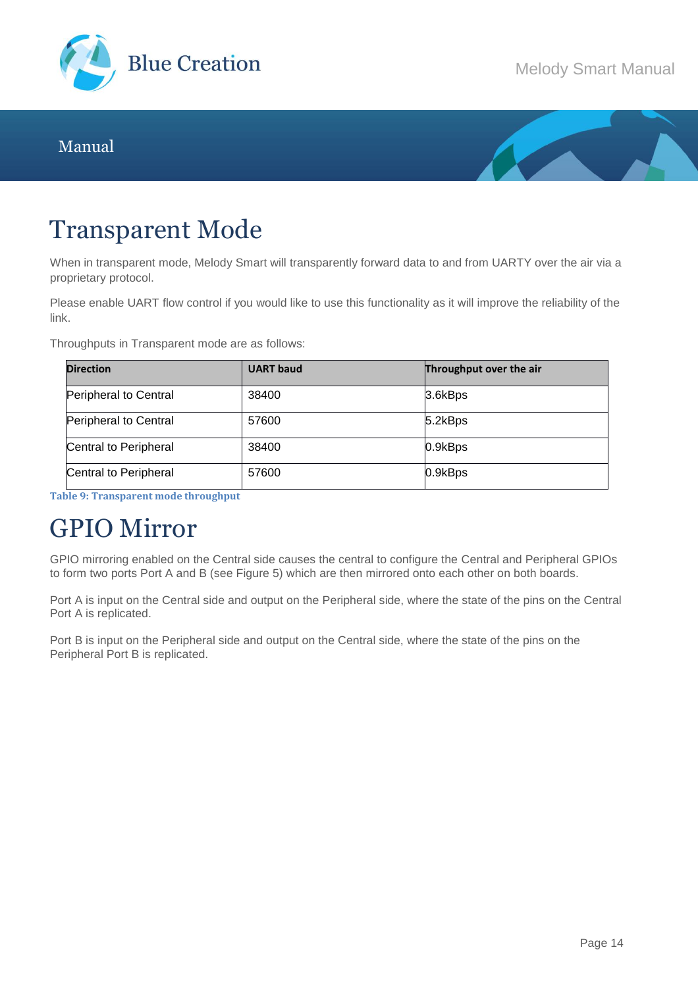



### Transparent Mode

When in transparent mode, Melody Smart will transparently forward data to and from UARTY over the air via a proprietary protocol.

Please enable UART flow control if you would like to use this functionality as it will improve the reliability of the link.

Throughputs in Transparent mode are as follows:

| <b>Direction</b>      | <b>UART</b> baud | Throughput over the air |
|-----------------------|------------------|-------------------------|
| Peripheral to Central | 38400            | 3.6kBps                 |
| Peripheral to Central | 57600            | 5.2kBps                 |
| Central to Peripheral | 38400            | 0.9kBps                 |
| Central to Peripheral | 57600            | 0.9kBps                 |

**Table 9: Transparent mode throughput**

## GPIO Mirror

GPIO mirroring enabled on the Central side causes the central to configure the Central and Peripheral GPIOs to form two ports Port A and B (see Figure 5) which are then mirrored onto each other on both boards.

Port A is input on the Central side and output on the Peripheral side, where the state of the pins on the Central Port A is replicated.

Port B is input on the Peripheral side and output on the Central side, where the state of the pins on the Peripheral Port B is replicated.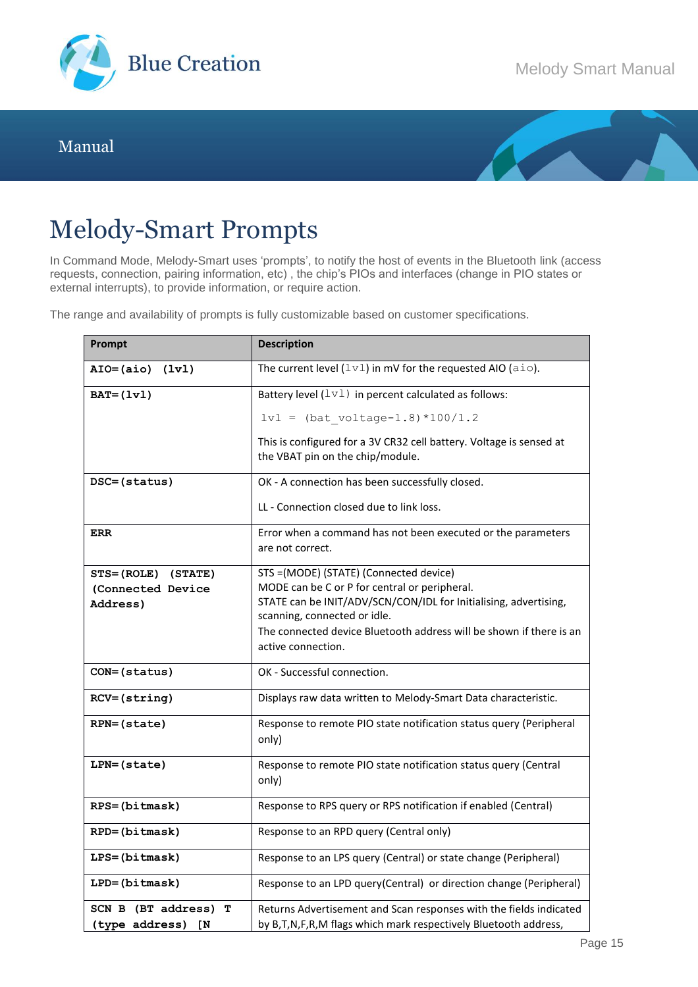





## Melody-Smart Prompts

In Command Mode, Melody-Smart uses 'prompts', to notify the host of events in the Bluetooth link (access requests, connection, pairing information, etc) , the chip's PIOs and interfaces (change in PIO states or external interrupts), to provide information, or require action.

The range and availability of prompts is fully customizable based on customer specifications.

| Prompt                                              | <b>Description</b>                                                                                                                                                                                                                                                                        |
|-----------------------------------------------------|-------------------------------------------------------------------------------------------------------------------------------------------------------------------------------------------------------------------------------------------------------------------------------------------|
| AIO=(aio)<br>(1v1)                                  | The current level $(\perp \vee \perp)$ in mV for the requested AIO (aio).                                                                                                                                                                                                                 |
| $BAT = (1v1)$                                       | Battery level $(1\,\mathrm{v1})$ in percent calculated as follows:                                                                                                                                                                                                                        |
|                                                     | $1vl = (bat voltage-1.8)*100/1.2$                                                                                                                                                                                                                                                         |
|                                                     | This is configured for a 3V CR32 cell battery. Voltage is sensed at<br>the VBAT pin on the chip/module.                                                                                                                                                                                   |
| DSC=(status)                                        | OK - A connection has been successfully closed.                                                                                                                                                                                                                                           |
|                                                     | LL - Connection closed due to link loss.                                                                                                                                                                                                                                                  |
| <b>ERR</b>                                          | Error when a command has not been executed or the parameters<br>are not correct.                                                                                                                                                                                                          |
| STS=(ROLE) (STATE)<br>(Connected Device<br>Address) | STS = (MODE) (STATE) (Connected device)<br>MODE can be C or P for central or peripheral.<br>STATE can be INIT/ADV/SCN/CON/IDL for Initialising, advertising,<br>scanning, connected or idle.<br>The connected device Bluetooth address will be shown if there is an<br>active connection. |
| $CON = (status)$                                    | OK - Successful connection.                                                                                                                                                                                                                                                               |
| $RCV = (string)$                                    | Displays raw data written to Melody-Smart Data characteristic.                                                                                                                                                                                                                            |
| RPN=(state)                                         | Response to remote PIO state notification status query (Peripheral<br>only)                                                                                                                                                                                                               |
| $LPN = (state)$                                     | Response to remote PIO state notification status query (Central<br>only)                                                                                                                                                                                                                  |
| RPS=(bitmask)                                       | Response to RPS query or RPS notification if enabled (Central)                                                                                                                                                                                                                            |
| RPD=(bitmask)                                       | Response to an RPD query (Central only)                                                                                                                                                                                                                                                   |
| LPS=(bitmask)                                       | Response to an LPS query (Central) or state change (Peripheral)                                                                                                                                                                                                                           |
| $LPD = (bitmask)$                                   | Response to an LPD query(Central) or direction change (Peripheral)                                                                                                                                                                                                                        |
| SCN B (BT address) T<br>(type address)<br>[N        | Returns Advertisement and Scan responses with the fields indicated<br>by B,T,N,F,R,M flags which mark respectively Bluetooth address,                                                                                                                                                     |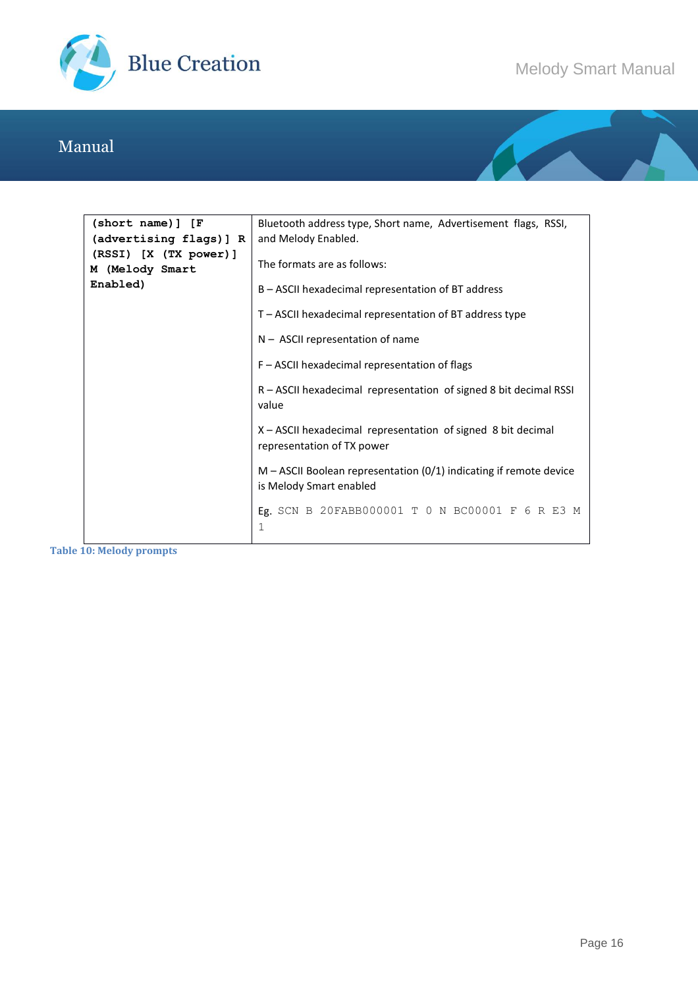



| $(short name)$ [F]<br>(advertising flags)] R<br>(RSSI) [X (TX power)]<br>M (Melody Smart | Bluetooth address type, Short name, Advertisement flags, RSSI,<br>and Melody Enabled.<br>The formats are as follows: |
|------------------------------------------------------------------------------------------|----------------------------------------------------------------------------------------------------------------------|
| Enabled)                                                                                 | B-ASCII hexadecimal representation of BT address                                                                     |
|                                                                                          | $T$ – ASCII hexadecimal representation of BT address type                                                            |
|                                                                                          | $N -$ ASCII representation of name                                                                                   |
|                                                                                          | $F - ASCII$ hexadecimal representation of flags                                                                      |
|                                                                                          | R - ASCII hexadecimal representation of signed 8 bit decimal RSSI<br>value                                           |
|                                                                                          | X-ASCII hexadecimal representation of signed 8 bit decimal<br>representation of TX power                             |
|                                                                                          | $M$ – ASCII Boolean representation (0/1) indicating if remote device<br>is Melody Smart enabled                      |
|                                                                                          | Eg. SCN B 20FABB000001 T 0 N BC00001 F 6 R E3 M<br>1                                                                 |

**Table 10: Melody prompts**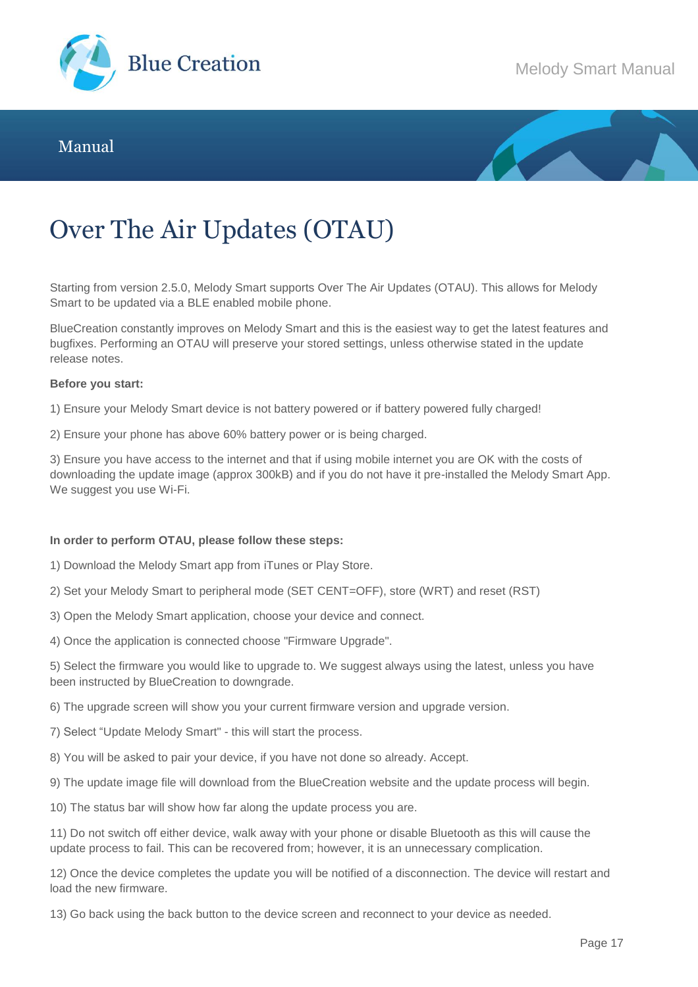



# Over The Air Updates (OTAU)

Starting from version 2.5.0, Melody Smart supports Over The Air Updates (OTAU). This allows for Melody Smart to be updated via a BLE enabled mobile phone.

BlueCreation constantly improves on Melody Smart and this is the easiest way to get the latest features and bugfixes. Performing an OTAU will preserve your stored settings, unless otherwise stated in the update release notes.

#### **Before you start:**

1) Ensure your Melody Smart device is not battery powered or if battery powered fully charged!

2) Ensure your phone has above 60% battery power or is being charged.

3) Ensure you have access to the internet and that if using mobile internet you are OK with the costs of downloading the update image (approx 300kB) and if you do not have it pre-installed the Melody Smart App. We suggest you use Wi-Fi.

#### **In order to perform OTAU, please follow these steps:**

- 1) Download the Melody Smart app from iTunes or Play Store.
- 2) Set your Melody Smart to peripheral mode (SET CENT=OFF), store (WRT) and reset (RST)
- 3) Open the Melody Smart application, choose your device and connect.
- 4) Once the application is connected choose "Firmware Upgrade".

5) Select the firmware you would like to upgrade to. We suggest always using the latest, unless you have been instructed by BlueCreation to downgrade.

6) The upgrade screen will show you your current firmware version and upgrade version.

- 7) Select "Update Melody Smart" this will start the process.
- 8) You will be asked to pair your device, if you have not done so already. Accept.
- 9) The update image file will download from the BlueCreation website and the update process will begin.
- 10) The status bar will show how far along the update process you are.

11) Do not switch off either device, walk away with your phone or disable Bluetooth as this will cause the update process to fail. This can be recovered from; however, it is an unnecessary complication.

12) Once the device completes the update you will be notified of a disconnection. The device will restart and load the new firmware.

13) Go back using the back button to the device screen and reconnect to your device as needed.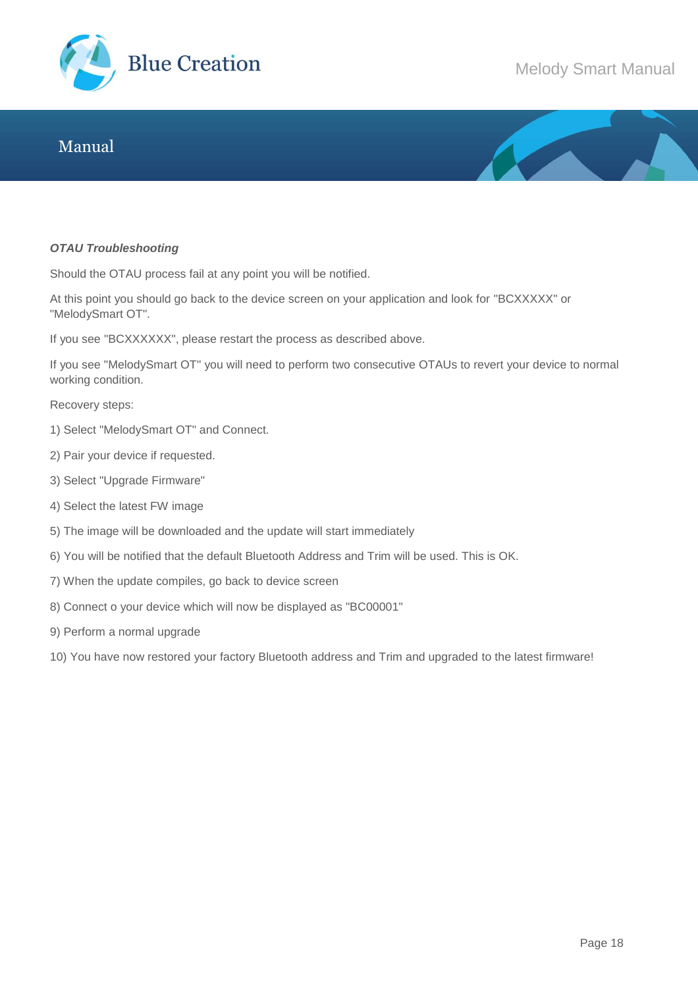

#### Melody Smart Manual

#### Manual



#### *OTAU Troubleshooting*

Should the OTAU process fail at any point you will be notified.

At this point you should go back to the device screen on your application and look for "BCXXXXX" or "MelodySmart OT".

If you see "BCXXXXXX", please restart the process as described above.

If you see "MelodySmart OT" you will need to perform two consecutive OTAUs to revert your device to normal working condition.

Recovery steps:

- 1) Select "MelodySmart OT" and Connect.
- 2) Pair your device if requested.
- 3) Select "Upgrade Firmware"
- 4) Select the latest FW image
- 5) The image will be downloaded and the update will start immediately
- 6) You will be notified that the default Bluetooth Address and Trim will be used. This is OK.
- 7) When the update compiles, go back to device screen
- 8) Connect o your device which will now be displayed as "BC00001"
- 9) Perform a normal upgrade
- 10) You have now restored your factory Bluetooth address and Trim and upgraded to the latest firmware!